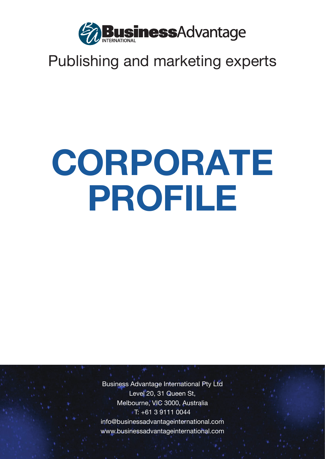

#### Publishing and marketing experts

# **CORPORATE PROFILE**

Business Advantage International Pty Ltd Level 20, 31 Queen St, Melbourne, VIC 3000, Australia T: +61 3 9111 0044 [info@businessadvantageinternational.com](mailto:info@businessadvantageinternational.com) [www.businessadvantageinternational.com](http://www.businessadvantageinternational.com)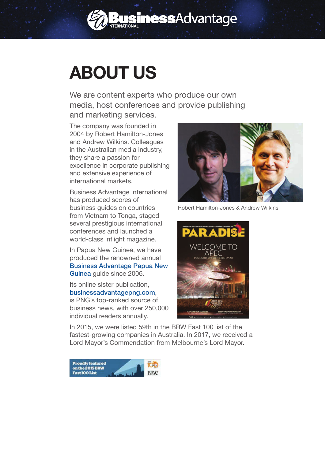

## **ABOUT US**

We are content experts who produce our own media, host conferences and provide publishing and marketing services.

The company was founded in 2004 by Robert Hamilton-Jones and Andrew Wilkins. Colleagues in the Australian media industry, they share a passion for excellence in corporate publishing and extensive experience of international markets.

Business Advantage International has produced scores of business guides on countries from Vietnam to Tonga, staged several prestigious international conferences and launched a world-class inflight magazine.

In Papua New Guinea, we have produced the renowned annual Business Advantage Papua New Guinea guide since 2006.

Its online sister publication, [businessadvantagepng.com](http://businessadvantagepng.com), is PNG's top-ranked source of business news, with over 250,000 individual readers annually.



Robert Hamilton-Jones & Andrew Wilkins



In 2015, we were listed 59th in the BRW Fast 100 list of the fastest-growing companies in Australia. In 2017, we received a Lord Mayor's Commendation from Melbourne's Lord Mayor.

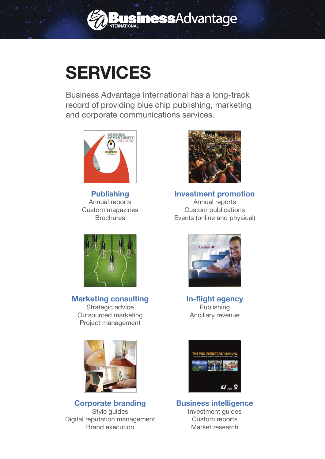

## **SERVICES**

Business Advantage International has a long-track record of providing blue chip publishing, marketing and corporate communications services.



**Publishing** Annual reports Custom magazines **Brochures** 



**Investment promotion**

Annual reports Custom publications Events (online and physical)



**Marketing consulting** Strategic advice Outsourced marketing Project management



**Corporate branding** Style guides Digital reputation management Brand execution



**In-flight agency** Publishing Ancillary revenue



#### **Business intelligence**

Investment guides Custom reports Market research